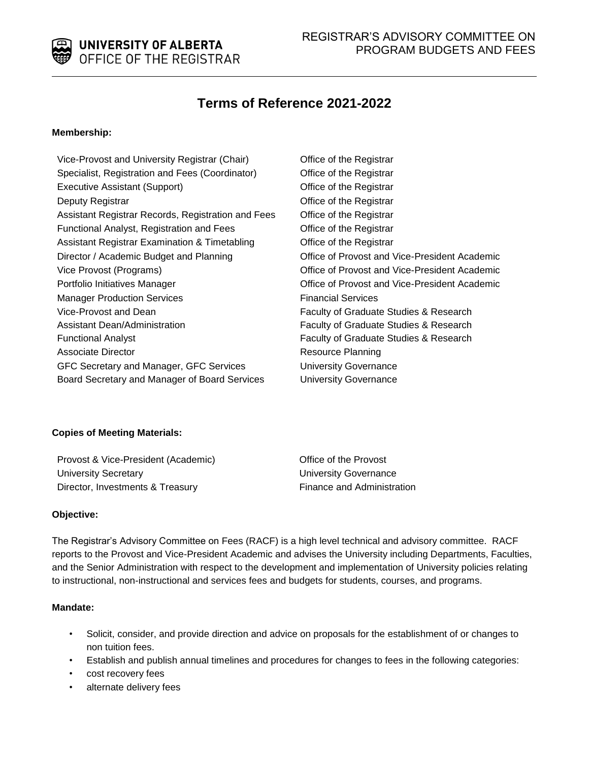

# **Terms of Reference 2021-2022**

### **Membership:**

Vice-Provost and University Registrar (Chair) Office of the Registrar Specialist, Registration and Fees (Coordinator) **Office of the Registrar** Executive Assistant (Support) Office of the Registrar Deputy Registrar **Deputy Registrar Deputy Registrar** Assistant Registrar Records, Registration and Fees Office of the Registrar Functional Analyst, Registration and Fees Office of the Registrar Assistant Registrar Examination & Timetabling **Construent Construent Construent** Assistant Registrar Director / Academic Budget and Planning **Constant Provost and Vice-President Academic** Vice Provost (Programs) Office of Provost and Vice-President Academic Portfolio Initiatives Manager **Department Controller Controller Controller** Office of Provost and Vice-President Academic Manager Production Services **Financial Services** Financial Services Vice-Provost and Dean Assistant Dean/Administration Functional Analyst **Faculty of Graduate Studies & Research** Faculty of Graduate Studies & Research Associate Director **Resource Planning** Associate Director GFC Secretary and Manager, GFC Services Board Secretary and Manager of Board Services

Faculty of Graduate Studies & Research Faculty of Graduate Studies & Research University Governance University Governance

## **Copies of Meeting Materials:**

Provost & Vice-President (Academic) **Depart Control** Office of the Provost University Secretary University Governance Director, Investments & Treasury Finance and Administration

#### **Objective:**

The Registrar's Advisory Committee on Fees (RACF) is a high level technical and advisory committee. RACF reports to the Provost and Vice-President Academic and advises the University including Departments, Faculties, and the Senior Administration with respect to the development and implementation of University policies relating to instructional, non-instructional and services fees and budgets for students, courses, and programs.

#### **Mandate:**

- Solicit, consider, and provide direction and advice on proposals for the establishment of or changes to non tuition fees.
- Establish and publish annual timelines and procedures for changes to fees in the following categories:
- cost recovery fees
- alternate delivery fees